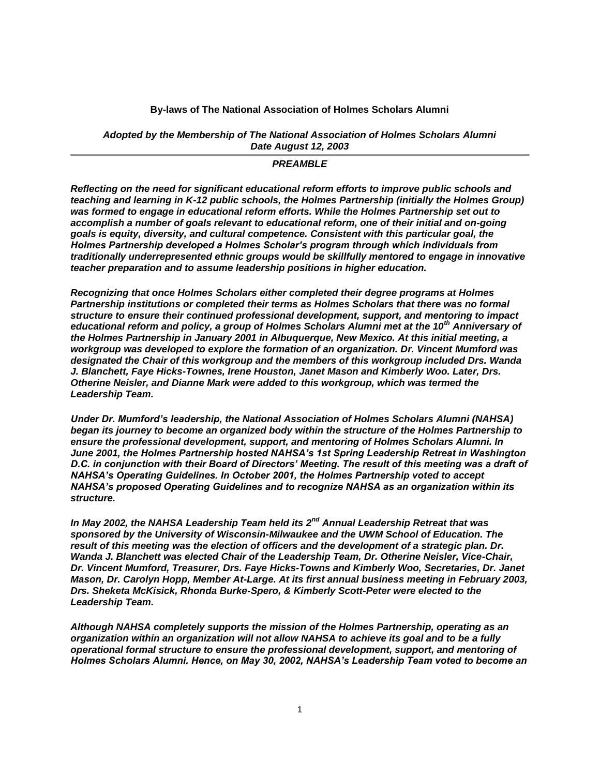#### **By-laws of The National Association of Holmes Scholars Alumni**

#### *Adopted by the Membership of The National Association of Holmes Scholars Alumni Date August 12, 2003*

#### *PREAMBLE*

*Reflecting on the need for significant educational reform efforts to improve public schools and teaching and learning in K-12 public schools, the Holmes Partnership (initially the Holmes Group) was formed to engage in educational reform efforts. While the Holmes Partnership set out to accomplish a number of goals relevant to educational reform, one of their initial and on-going goals is equity, diversity, and cultural competence. Consistent with this particular goal, the Holmes Partnership developed a Holmes Scholar's program through which individuals from traditionally underrepresented ethnic groups would be skillfully mentored to engage in innovative teacher preparation and to assume leadership positions in higher education.* 

*Recognizing that once Holmes Scholars either completed their degree programs at Holmes Partnership institutions or completed their terms as Holmes Scholars that there was no formal structure to ensure their continued professional development, support, and mentoring to impact educational reform and policy, a group of Holmes Scholars Alumni met at the 10th Anniversary of the Holmes Partnership in January 2001 in Albuquerque, New Mexico. At this initial meeting, a workgroup was developed to explore the formation of an organization. Dr. Vincent Mumford was designated the Chair of this workgroup and the members of this workgroup included Drs. Wanda J. Blanchett, Faye Hicks-Townes, Irene Houston, Janet Mason and Kimberly Woo. Later, Drs. Otherine Neisler, and Dianne Mark were added to this workgroup, which was termed the Leadership Team.* 

*Under Dr. Mumford's leadership, the National Association of Holmes Scholars Alumni (NAHSA) began its journey to become an organized body within the structure of the Holmes Partnership to ensure the professional development, support, and mentoring of Holmes Scholars Alumni. In June 2001, the Holmes Partnership hosted NAHSA's 1st Spring Leadership Retreat in Washington D.C. in conjunction with their Board of Directors' Meeting. The result of this meeting was a draft of NAHSA's Operating Guidelines. In October 2001, the Holmes Partnership voted to accept NAHSA's proposed Operating Guidelines and to recognize NAHSA as an organization within its structure.*

*In May 2002, the NAHSA Leadership Team held its 2nd Annual Leadership Retreat that was sponsored by the University of Wisconsin-Milwaukee and the UWM School of Education. The result of this meeting was the election of officers and the development of a strategic plan. Dr. Wanda J. Blanchett was elected Chair of the Leadership Team, Dr. Otherine Neisler, Vice-Chair, Dr. Vincent Mumford, Treasurer, Drs. Faye Hicks-Towns and Kimberly Woo, Secretaries, Dr. Janet Mason, Dr. Carolyn Hopp, Member At-Large. At its first annual business meeting in February 2003, Drs. Sheketa McKisick, Rhonda Burke-Spero, & Kimberly Scott-Peter were elected to the Leadership Team.*

*Although NAHSA completely supports the mission of the Holmes Partnership, operating as an organization within an organization will not allow NAHSA to achieve its goal and to be a fully operational formal structure to ensure the professional development, support, and mentoring of Holmes Scholars Alumni. Hence, on May 30, 2002, NAHSA's Leadership Team voted to become an*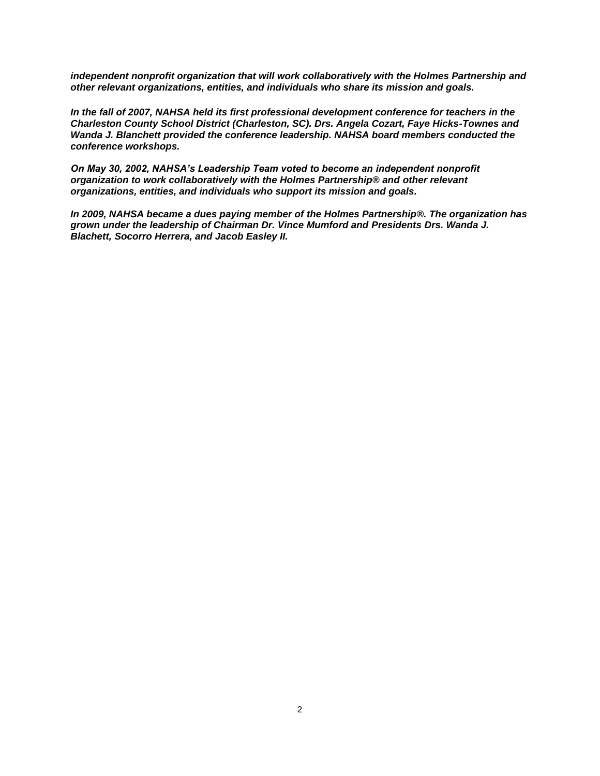*independent nonprofit organization that will work collaboratively with the Holmes Partnership and other relevant organizations, entities, and individuals who share its mission and goals.*

*In the fall of 2007, NAHSA held its first professional development conference for teachers in the Charleston County School District (Charleston, SC). Drs. Angela Cozart, Faye Hicks-Townes and Wanda J. Blanchett provided the conference leadership. NAHSA board members conducted the conference workshops.*

*On May 30, 2002, NAHSA's Leadership Team voted to become an independent nonprofit organization to work collaboratively with the Holmes Partnership® and other relevant organizations, entities, and individuals who support its mission and goals.*

*In 2009, NAHSA became a dues paying member of the Holmes Partnership®. The organization has grown under the leadership of Chairman Dr. Vince Mumford and Presidents Drs. Wanda J. Blachett, Socorro Herrera, and Jacob Easley II.*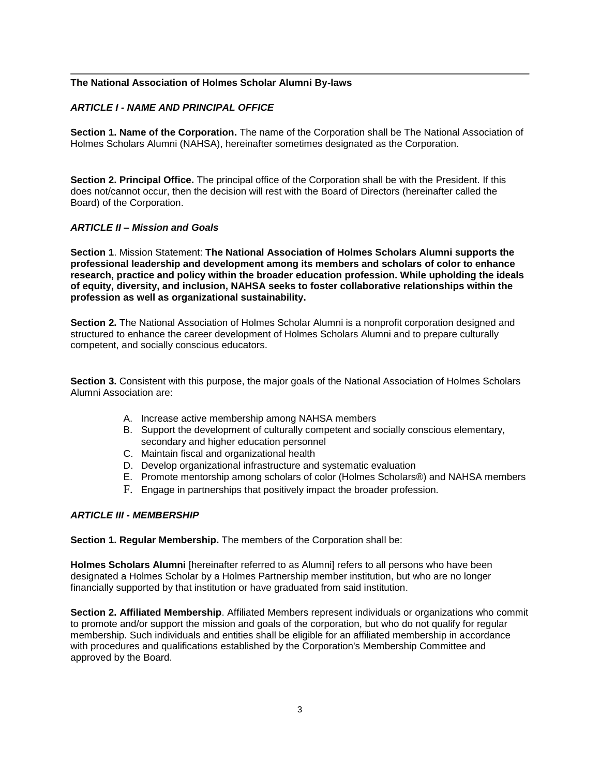### **The National Association of Holmes Scholar Alumni By-laws**

### *ARTICLE I - NAME AND PRINCIPAL OFFICE*

**Section 1. Name of the Corporation.** The name of the Corporation shall be The National Association of Holmes Scholars Alumni (NAHSA), hereinafter sometimes designated as the Corporation.

**Section 2. Principal Office.** The principal office of the Corporation shall be with the President. If this does not/cannot occur, then the decision will rest with the Board of Directors (hereinafter called the Board) of the Corporation.

#### *ARTICLE II – Mission and Goals*

**Section 1**. Mission Statement: **The National Association of Holmes Scholars Alumni supports the professional leadership and development among its members and scholars of color to enhance research, practice and policy within the broader education profession. While upholding the ideals of equity, diversity, and inclusion, NAHSA seeks to foster collaborative relationships within the profession as well as organizational sustainability.**

**Section 2.** The National Association of Holmes Scholar Alumni is a nonprofit corporation designed and structured to enhance the career development of Holmes Scholars Alumni and to prepare culturally competent, and socially conscious educators.

**Section 3.** Consistent with this purpose, the major goals of the National Association of Holmes Scholars Alumni Association are:

- A. Increase active membership among NAHSA members
- B. Support the development of culturally competent and socially conscious elementary, secondary and higher education personnel
- C. Maintain fiscal and organizational health
- D. Develop organizational infrastructure and systematic evaluation
- E. Promote mentorship among scholars of color (Holmes Scholars®) and NAHSA members
- F. Engage in partnerships that positively impact the broader profession.

#### *ARTICLE III - MEMBERSHIP*

**Section 1. Regular Membership.** The members of the Corporation shall be:

**Holmes Scholars Alumni** [hereinafter referred to as Alumni] refers to all persons who have been designated a Holmes Scholar by a Holmes Partnership member institution, but who are no longer financially supported by that institution or have graduated from said institution.

**Section 2. Affiliated Membership**. Affiliated Members represent individuals or organizations who commit to promote and/or support the mission and goals of the corporation, but who do not qualify for regular membership. Such individuals and entities shall be eligible for an affiliated membership in accordance with procedures and qualifications established by the Corporation's Membership Committee and approved by the Board.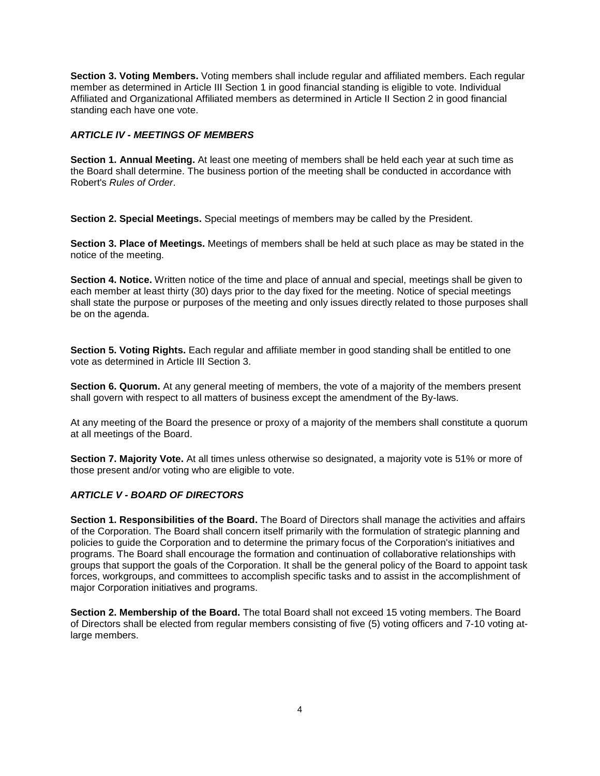**Section 3. Voting Members.** Voting members shall include regular and affiliated members. Each regular member as determined in Article III Section 1 in good financial standing is eligible to vote. Individual Affiliated and Organizational Affiliated members as determined in Article II Section 2 in good financial standing each have one vote.

### *ARTICLE IV - MEETINGS OF MEMBERS*

**Section 1. Annual Meeting.** At least one meeting of members shall be held each year at such time as the Board shall determine. The business portion of the meeting shall be conducted in accordance with Robert's *Rules of Order*.

**Section 2. Special Meetings.** Special meetings of members may be called by the President.

**Section 3. Place of Meetings.** Meetings of members shall be held at such place as may be stated in the notice of the meeting.

**Section 4. Notice.** Written notice of the time and place of annual and special, meetings shall be given to each member at least thirty (30) days prior to the day fixed for the meeting. Notice of special meetings shall state the purpose or purposes of the meeting and only issues directly related to those purposes shall be on the agenda.

**Section 5. Voting Rights.** Each regular and affiliate member in good standing shall be entitled to one vote as determined in Article III Section 3.

**Section 6. Quorum.** At any general meeting of members, the vote of a majority of the members present shall govern with respect to all matters of business except the amendment of the By-laws.

At any meeting of the Board the presence or proxy of a majority of the members shall constitute a quorum at all meetings of the Board.

**Section 7. Majority Vote.** At all times unless otherwise so designated, a majority vote is 51% or more of those present and/or voting who are eligible to vote.

# *ARTICLE V - BOARD OF DIRECTORS*

**Section 1. Responsibilities of the Board.** The Board of Directors shall manage the activities and affairs of the Corporation. The Board shall concern itself primarily with the formulation of strategic planning and policies to guide the Corporation and to determine the primary focus of the Corporation's initiatives and programs. The Board shall encourage the formation and continuation of collaborative relationships with groups that support the goals of the Corporation. It shall be the general policy of the Board to appoint task forces, workgroups, and committees to accomplish specific tasks and to assist in the accomplishment of major Corporation initiatives and programs.

**Section 2. Membership of the Board.** The total Board shall not exceed 15 voting members. The Board of Directors shall be elected from regular members consisting of five (5) voting officers and 7-10 voting atlarge members.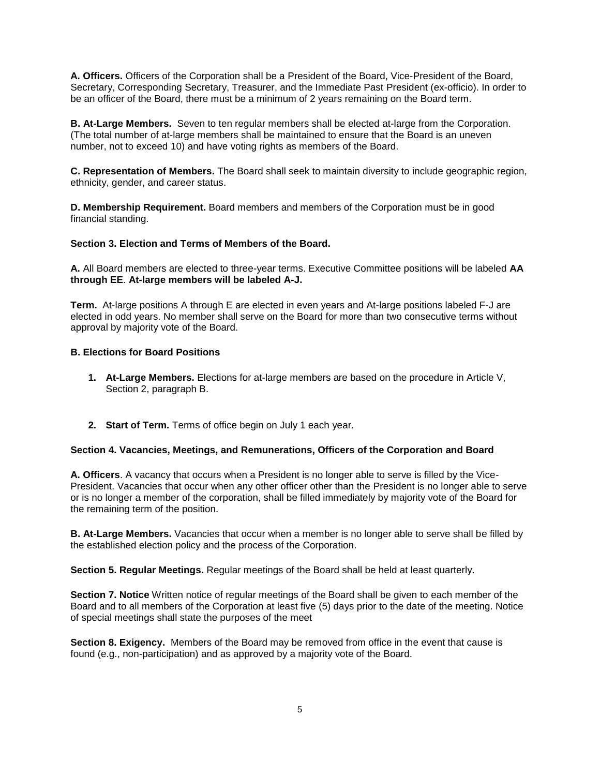**A. Officers.** Officers of the Corporation shall be a President of the Board, Vice-President of the Board, Secretary, Corresponding Secretary, Treasurer, and the Immediate Past President (ex-officio). In order to be an officer of the Board, there must be a minimum of 2 years remaining on the Board term.

**B. At-Large Members.** Seven to ten regular members shall be elected at-large from the Corporation. (The total number of at-large members shall be maintained to ensure that the Board is an uneven number, not to exceed 10) and have voting rights as members of the Board.

**C. Representation of Members.** The Board shall seek to maintain diversity to include geographic region, ethnicity, gender, and career status.

**D. Membership Requirement.** Board members and members of the Corporation must be in good financial standing.

#### **Section 3. Election and Terms of Members of the Board.**

**A.** All Board members are elected to three-year terms. Executive Committee positions will be labeled **AA through EE**. **At-large members will be labeled A-J.**

**Term.** At-large positions A through E are elected in even years and At-large positions labeled F-J are elected in odd years. No member shall serve on the Board for more than two consecutive terms without approval by majority vote of the Board.

#### **B. Elections for Board Positions**

- **1. At-Large Members.** Elections for at-large members are based on the procedure in Article V, Section 2, paragraph B.
- **2. Start of Term.** Terms of office begin on July 1 each year.

#### **Section 4. Vacancies, Meetings, and Remunerations, Officers of the Corporation and Board**

**A. Officers**. A vacancy that occurs when a President is no longer able to serve is filled by the Vice-President. Vacancies that occur when any other officer other than the President is no longer able to serve or is no longer a member of the corporation, shall be filled immediately by majority vote of the Board for the remaining term of the position.

**B. At-Large Members.** Vacancies that occur when a member is no longer able to serve shall be filled by the established election policy and the process of the Corporation.

**Section 5. Regular Meetings.** Regular meetings of the Board shall be held at least quarterly.

**Section 7. Notice** Written notice of regular meetings of the Board shall be given to each member of the Board and to all members of the Corporation at least five (5) days prior to the date of the meeting. Notice of special meetings shall state the purposes of the meet

**Section 8. Exigency.** Members of the Board may be removed from office in the event that cause is found (e.g., non-participation) and as approved by a majority vote of the Board.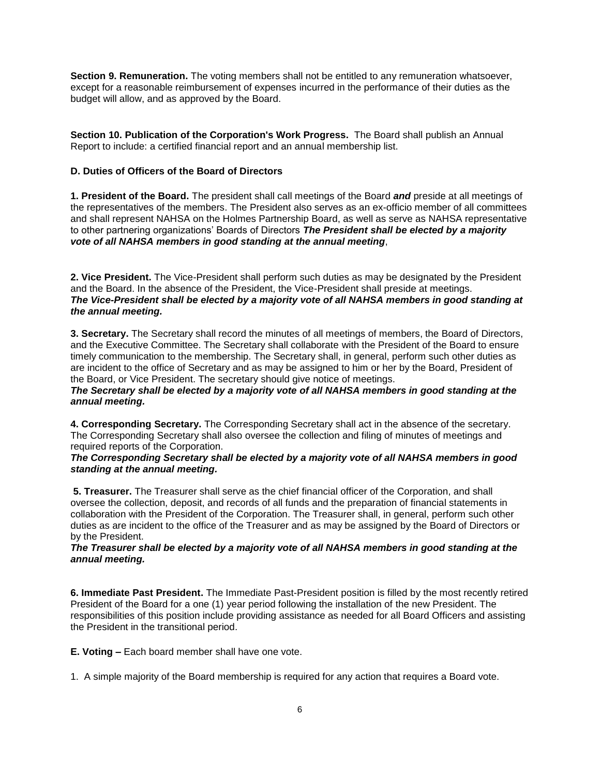**Section 9. Remuneration.** The voting members shall not be entitled to any remuneration whatsoever, except for a reasonable reimbursement of expenses incurred in the performance of their duties as the budget will allow, and as approved by the Board.

**Section 10. Publication of the Corporation's Work Progress.** The Board shall publish an Annual Report to include: a certified financial report and an annual membership list.

### **D. Duties of Officers of the Board of Directors**

**1. President of the Board.** The president shall call meetings of the Board *and* preside at all meetings of the representatives of the members. The President also serves as an ex-officio member of all committees and shall represent NAHSA on the Holmes Partnership Board, as well as serve as NAHSA representative to other partnering organizations' Boards of Directors *The President shall be elected by a majority vote of all NAHSA members in good standing at the annual meeting*,

**2. Vice President.** The Vice-President shall perform such duties as may be designated by the President and the Board. In the absence of the President, the Vice-President shall preside at meetings. *The Vice-President shall be elected by a majority vote of all NAHSA members in good standing at the annual meeting.*

**3. Secretary.** The Secretary shall record the minutes of all meetings of members, the Board of Directors, and the Executive Committee. The Secretary shall collaborate with the President of the Board to ensure timely communication to the membership. The Secretary shall, in general, perform such other duties as are incident to the office of Secretary and as may be assigned to him or her by the Board, President of the Board, or Vice President. The secretary should give notice of meetings.

*The Secretary shall be elected by a majority vote of all NAHSA members in good standing at the annual meeting.*

**4. Corresponding Secretary.** The Corresponding Secretary shall act in the absence of the secretary. The Corresponding Secretary shall also oversee the collection and filing of minutes of meetings and required reports of the Corporation.

*The Corresponding Secretary shall be elected by a majority vote of all NAHSA members in good standing at the annual meeting.*

**5. Treasurer.** The Treasurer shall serve as the chief financial officer of the Corporation, and shall oversee the collection, deposit, and records of all funds and the preparation of financial statements in collaboration with the President of the Corporation. The Treasurer shall, in general, perform such other duties as are incident to the office of the Treasurer and as may be assigned by the Board of Directors or by the President.

### *The Treasurer shall be elected by a majority vote of all NAHSA members in good standing at the annual meeting.*

**6. Immediate Past President.** The Immediate Past-President position is filled by the most recently retired President of the Board for a one (1) year period following the installation of the new President. The responsibilities of this position include providing assistance as needed for all Board Officers and assisting the President in the transitional period.

**E. Voting –** Each board member shall have one vote.

1. A simple majority of the Board membership is required for any action that requires a Board vote.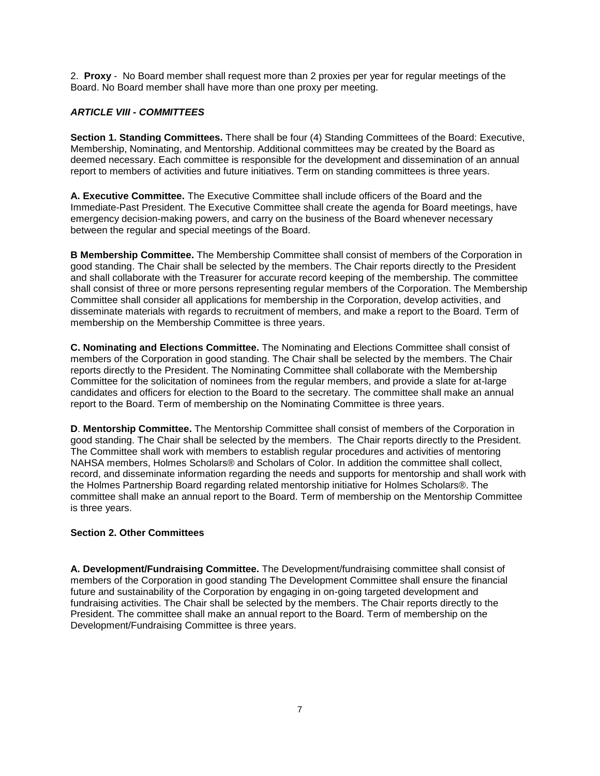2. **Proxy** - No Board member shall request more than 2 proxies per year for regular meetings of the Board. No Board member shall have more than one proxy per meeting.

## *ARTICLE VIII - COMMITTEES*

**Section 1. Standing Committees.** There shall be four (4) Standing Committees of the Board: Executive, Membership, Nominating, and Mentorship. Additional committees may be created by the Board as deemed necessary. Each committee is responsible for the development and dissemination of an annual report to members of activities and future initiatives. Term on standing committees is three years.

**A. Executive Committee.** The Executive Committee shall include officers of the Board and the Immediate-Past President. The Executive Committee shall create the agenda for Board meetings, have emergency decision-making powers, and carry on the business of the Board whenever necessary between the regular and special meetings of the Board.

**B Membership Committee.** The Membership Committee shall consist of members of the Corporation in good standing. The Chair shall be selected by the members. The Chair reports directly to the President and shall collaborate with the Treasurer for accurate record keeping of the membership. The committee shall consist of three or more persons representing regular members of the Corporation. The Membership Committee shall consider all applications for membership in the Corporation, develop activities, and disseminate materials with regards to recruitment of members, and make a report to the Board. Term of membership on the Membership Committee is three years.

**C. Nominating and Elections Committee.** The Nominating and Elections Committee shall consist of members of the Corporation in good standing. The Chair shall be selected by the members. The Chair reports directly to the President. The Nominating Committee shall collaborate with the Membership Committee for the solicitation of nominees from the regular members, and provide a slate for at-large candidates and officers for election to the Board to the secretary. The committee shall make an annual report to the Board. Term of membership on the Nominating Committee is three years.

**D**. **Mentorship Committee.** The Mentorship Committee shall consist of members of the Corporation in good standing. The Chair shall be selected by the members. The Chair reports directly to the President. The Committee shall work with members to establish regular procedures and activities of mentoring NAHSA members, Holmes Scholars® and Scholars of Color. In addition the committee shall collect, record, and disseminate information regarding the needs and supports for mentorship and shall work with the Holmes Partnership Board regarding related mentorship initiative for Holmes Scholars®. The committee shall make an annual report to the Board. Term of membership on the Mentorship Committee is three years.

### **Section 2. Other Committees**

**A. Development/Fundraising Committee.** The Development/fundraising committee shall consist of members of the Corporation in good standing The Development Committee shall ensure the financial future and sustainability of the Corporation by engaging in on-going targeted development and fundraising activities. The Chair shall be selected by the members. The Chair reports directly to the President. The committee shall make an annual report to the Board. Term of membership on the Development/Fundraising Committee is three years.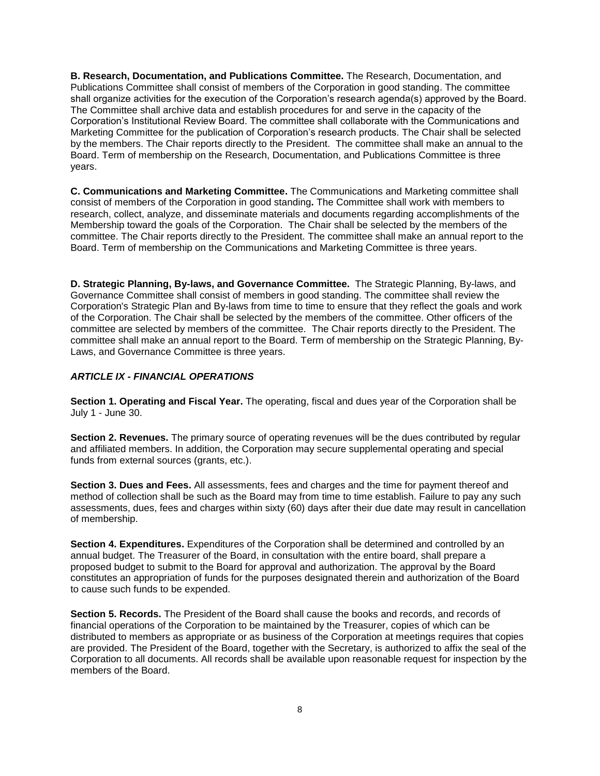**B. Research, Documentation, and Publications Committee.** The Research, Documentation, and Publications Committee shall consist of members of the Corporation in good standing. The committee shall organize activities for the execution of the Corporation's research agenda(s) approved by the Board. The Committee shall archive data and establish procedures for and serve in the capacity of the Corporation's Institutional Review Board. The committee shall collaborate with the Communications and Marketing Committee for the publication of Corporation's research products. The Chair shall be selected by the members. The Chair reports directly to the President. The committee shall make an annual to the Board. Term of membership on the Research, Documentation, and Publications Committee is three years.

**C. Communications and Marketing Committee.** The Communications and Marketing committee shall consist of members of the Corporation in good standing**.** The Committee shall work with members to research, collect, analyze, and disseminate materials and documents regarding accomplishments of the Membership toward the goals of the Corporation. The Chair shall be selected by the members of the committee. The Chair reports directly to the President. The committee shall make an annual report to the Board. Term of membership on the Communications and Marketing Committee is three years.

**D. Strategic Planning, By-laws, and Governance Committee.** The Strategic Planning, By-laws, and Governance Committee shall consist of members in good standing. The committee shall review the Corporation's Strategic Plan and By-laws from time to time to ensure that they reflect the goals and work of the Corporation. The Chair shall be selected by the members of the committee. Other officers of the committee are selected by members of the committee. The Chair reports directly to the President. The committee shall make an annual report to the Board. Term of membership on the Strategic Planning, By-Laws, and Governance Committee is three years.

## *ARTICLE IX - FINANCIAL OPERATIONS*

**Section 1. Operating and Fiscal Year.** The operating, fiscal and dues year of the Corporation shall be July 1 - June 30.

**Section 2. Revenues.** The primary source of operating revenues will be the dues contributed by regular and affiliated members. In addition, the Corporation may secure supplemental operating and special funds from external sources (grants, etc.).

**Section 3. Dues and Fees.** All assessments, fees and charges and the time for payment thereof and method of collection shall be such as the Board may from time to time establish. Failure to pay any such assessments, dues, fees and charges within sixty (60) days after their due date may result in cancellation of membership.

**Section 4. Expenditures.** Expenditures of the Corporation shall be determined and controlled by an annual budget. The Treasurer of the Board, in consultation with the entire board, shall prepare a proposed budget to submit to the Board for approval and authorization. The approval by the Board constitutes an appropriation of funds for the purposes designated therein and authorization of the Board to cause such funds to be expended.

**Section 5. Records.** The President of the Board shall cause the books and records, and records of financial operations of the Corporation to be maintained by the Treasurer, copies of which can be distributed to members as appropriate or as business of the Corporation at meetings requires that copies are provided. The President of the Board, together with the Secretary, is authorized to affix the seal of the Corporation to all documents. All records shall be available upon reasonable request for inspection by the members of the Board.